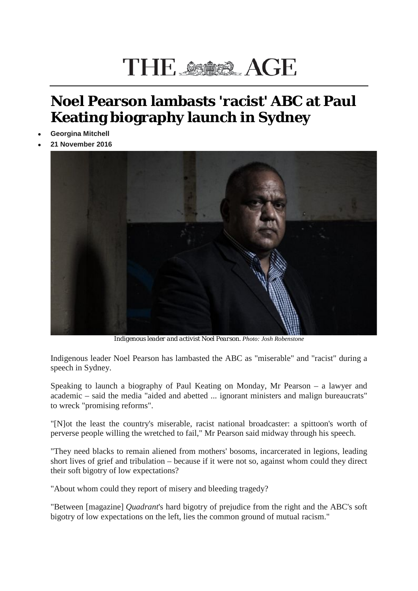## THE AGE AGE

## **Noel Pearson lambasts 'racist' ABC at Paul Keating biography launch in Sydney**

- **Georgina Mitchell**
- **21 November 2016**



*Indigenous leader and activist Noel Pearson. Photo: Josh Robenstone*

Indigenous leader Noel Pearson has lambasted the ABC as "miserable" and "racist" during a speech in Sydney.

Speaking to launch a biography of Paul Keating on Monday, Mr Pearson – a lawyer and academic – said the media "aided and abetted ... ignorant ministers and malign bureaucrats" to wreck "promising reforms".

"[N]ot the least the country's miserable, racist national broadcaster: a spittoon's worth of perverse people willing the wretched to fail," Mr Pearson said midway through his speech.

"They need blacks to remain aliened from mothers' bosoms, incarcerated in legions, leading short lives of grief and tribulation – because if it were not so, against whom could they direct their soft bigotry of low expectations?

"About whom could they report of misery and bleeding tragedy?

"Between [magazine] *Quadrant*'s hard bigotry of prejudice from the right and the ABC's soft bigotry of low expectations on the left, lies the common ground of mutual racism."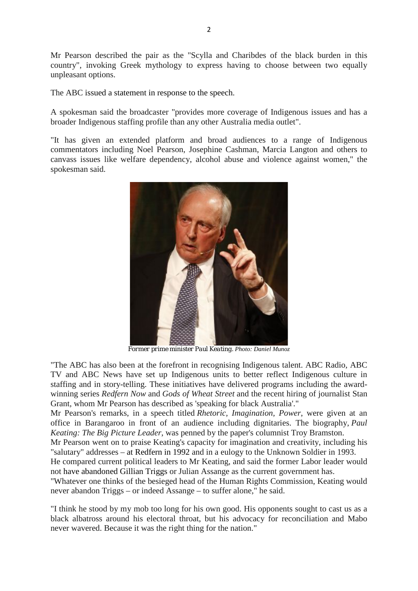Mr Pearson described the pair as the "Scylla and Charibdes of the black burden in this country", invoking Greek mythology to express having to choose between two equally unpleasant options.

The ABC issued a statement in response to the speech.

A spokesman said the broadcaster "provides more coverage of Indigenous issues and has a broader Indigenous staffing profile than any other Australia media outlet".

"It has given an extended platform and broad audiences to a range of Indigenous commentators including Noel Pearson, Josephine Cashman, Marcia Langton and others to canvass issues like welfare dependency, alcohol abuse and violence against women," the spokesman said.



*Former prime minister Paul Keating. Photo: Daniel Munoz*

"The ABC has also been at the forefront in recognising Indigenous talent. ABC Radio, ABC TV and ABC News have set up Indigenous units to better reflect Indigenous culture in staffing and in story-telling. These initiatives have delivered programs including the awardwinning series *Redfern Now* and *Gods of Wheat Street* and the recent hiring of journalist Stan Grant, whom Mr Pearson has described as 'speaking for black Australia'."

Mr Pearson's remarks, in a speech titled *Rhetoric, Imagination, Power*, were given at an office in Barangaroo in front of an audience including dignitaries. The biography, *Paul Keating: The Big Picture Leader*, was penned by the paper's columnist Troy Bramston.

Mr Pearson went on to praise Keating's capacity for imagination and creativity, including his "salutary" addresses – at Redfern in 1992 and in a eulogy to the Unknown Soldier in 1993.

He compared current political leaders to Mr Keating, and said the former Labor leader would not have abandoned Gillian Triggs or Julian Assange as the current government has.

"Whatever one thinks of the besieged head of the Human Rights Commission, Keating would never abandon Triggs – or indeed Assange – to suffer alone," he said.

"I think he stood by my mob too long for his own good. His opponents sought to cast us as a black albatross around his electoral throat, but his advocacy for reconciliation and Mabo never wavered. Because it was the right thing for the nation."